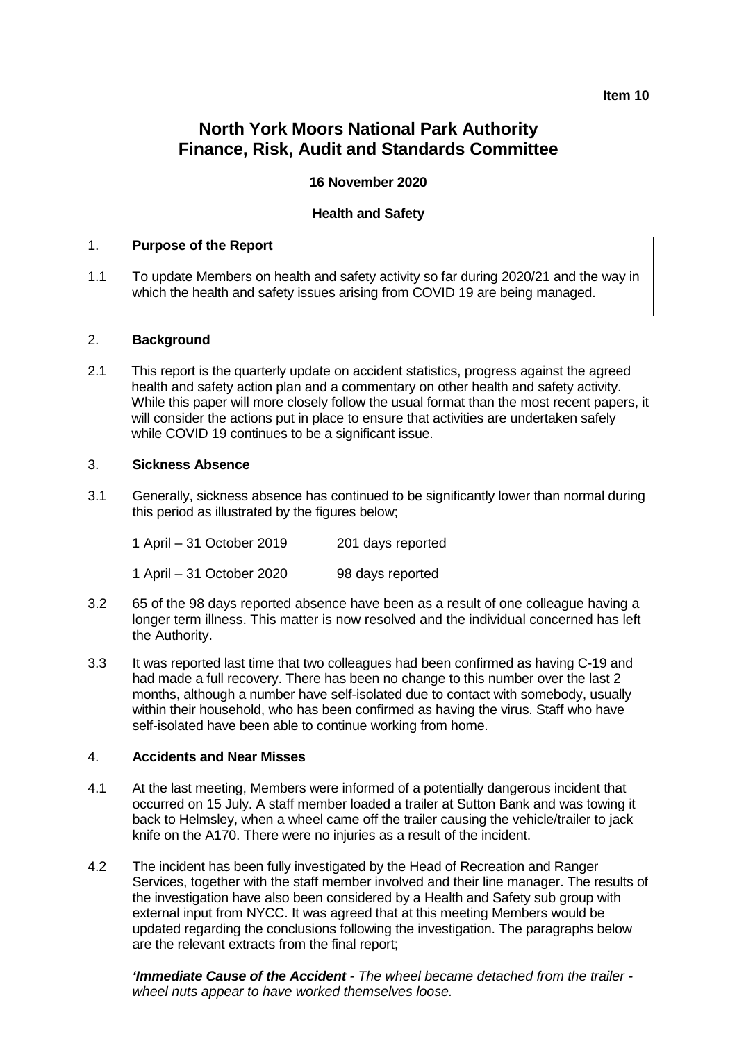## **Item 10**

# **North York Moors National Park Authority Finance, Risk, Audit and Standards Committee**

## **16 November 2020**

## **Health and Safety**

## 1. **Purpose of the Report**

1.1 To update Members on health and safety activity so far during 2020/21 and the way in which the health and safety issues arising from COVID 19 are being managed.

#### 2. **Background**

2.1 This report is the quarterly update on accident statistics, progress against the agreed health and safety action plan and a commentary on other health and safety activity. While this paper will more closely follow the usual format than the most recent papers, it will consider the actions put in place to ensure that activities are undertaken safely while COVID 19 continues to be a significant issue.

#### 3. **Sickness Absence**

3.1 Generally, sickness absence has continued to be significantly lower than normal during this period as illustrated by the figures below;

| 1 April – 31 October 2019 | 201 days reported |
|---------------------------|-------------------|
| 1 April – 31 October 2020 | 98 days reported  |

- 3.2 65 of the 98 days reported absence have been as a result of one colleague having a longer term illness. This matter is now resolved and the individual concerned has left the Authority.
- 3.3 It was reported last time that two colleagues had been confirmed as having C-19 and had made a full recovery. There has been no change to this number over the last 2 months, although a number have self-isolated due to contact with somebody, usually within their household, who has been confirmed as having the virus. Staff who have self-isolated have been able to continue working from home.

#### 4. **Accidents and Near Misses**

- 4.1 At the last meeting, Members were informed of a potentially dangerous incident that occurred on 15 July. A staff member loaded a trailer at Sutton Bank and was towing it back to Helmsley, when a wheel came off the trailer causing the vehicle/trailer to jack knife on the A170. There were no injuries as a result of the incident.
- 4.2 The incident has been fully investigated by the Head of Recreation and Ranger Services, together with the staff member involved and their line manager. The results of the investigation have also been considered by a Health and Safety sub group with external input from NYCC. It was agreed that at this meeting Members would be updated regarding the conclusions following the investigation. The paragraphs below are the relevant extracts from the final report;

*'Immediate Cause of the Accident - The wheel became detached from the trailer wheel nuts appear to have worked themselves loose.*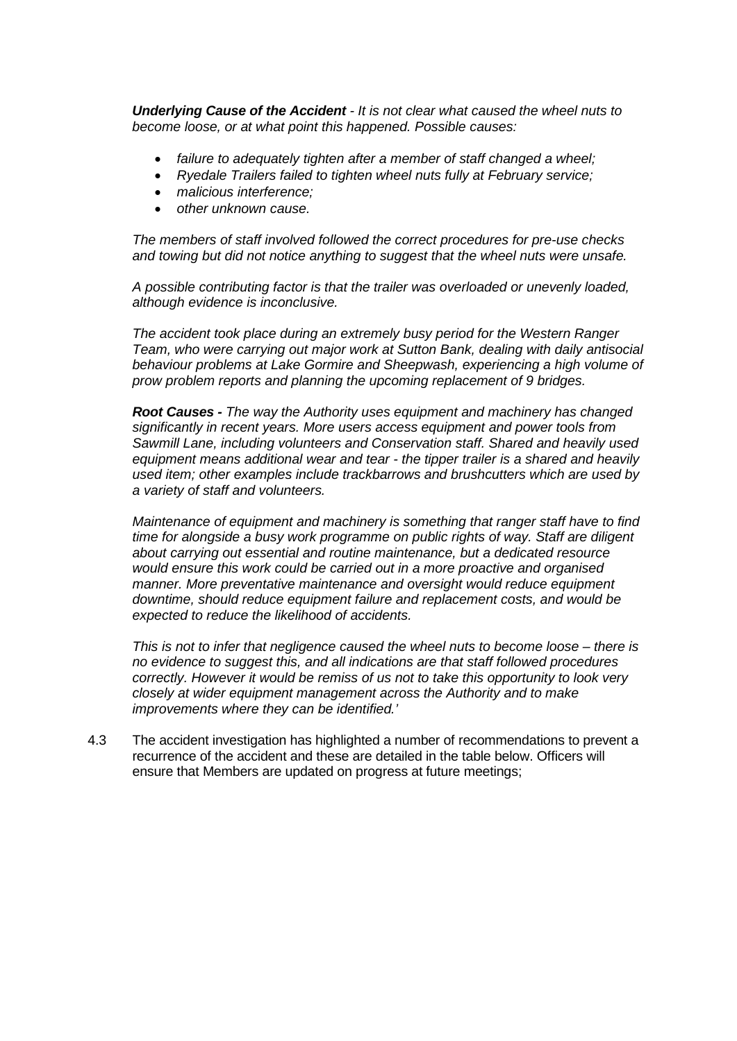*Underlying Cause of the Accident - It is not clear what caused the wheel nuts to become loose, or at what point this happened. Possible causes:*

- *failure to adequately tighten after a member of staff changed a wheel;*
- *Ryedale Trailers failed to tighten wheel nuts fully at February service;*
- *malicious interference;*
- *other unknown cause.*

*The members of staff involved followed the correct procedures for pre-use checks and towing but did not notice anything to suggest that the wheel nuts were unsafe.*

*A possible contributing factor is that the trailer was overloaded or unevenly loaded, although evidence is inconclusive.*

*The accident took place during an extremely busy period for the Western Ranger Team, who were carrying out major work at Sutton Bank, dealing with daily antisocial behaviour problems at Lake Gormire and Sheepwash, experiencing a high volume of prow problem reports and planning the upcoming replacement of 9 bridges.* 

*Root Causes - The way the Authority uses equipment and machinery has changed significantly in recent years. More users access equipment and power tools from Sawmill Lane, including volunteers and Conservation staff. Shared and heavily used equipment means additional wear and tear - the tipper trailer is a shared and heavily used item; other examples include trackbarrows and brushcutters which are used by a variety of staff and volunteers.* 

*Maintenance of equipment and machinery is something that ranger staff have to find time for alongside a busy work programme on public rights of way. Staff are diligent about carrying out essential and routine maintenance, but a dedicated resource would ensure this work could be carried out in a more proactive and organised manner. More preventative maintenance and oversight would reduce equipment downtime, should reduce equipment failure and replacement costs, and would be expected to reduce the likelihood of accidents.*

*This is not to infer that negligence caused the wheel nuts to become loose – there is no evidence to suggest this, and all indications are that staff followed procedures correctly. However it would be remiss of us not to take this opportunity to look very closely at wider equipment management across the Authority and to make improvements where they can be identified.'*

4.3 The accident investigation has highlighted a number of recommendations to prevent a recurrence of the accident and these are detailed in the table below. Officers will ensure that Members are updated on progress at future meetings;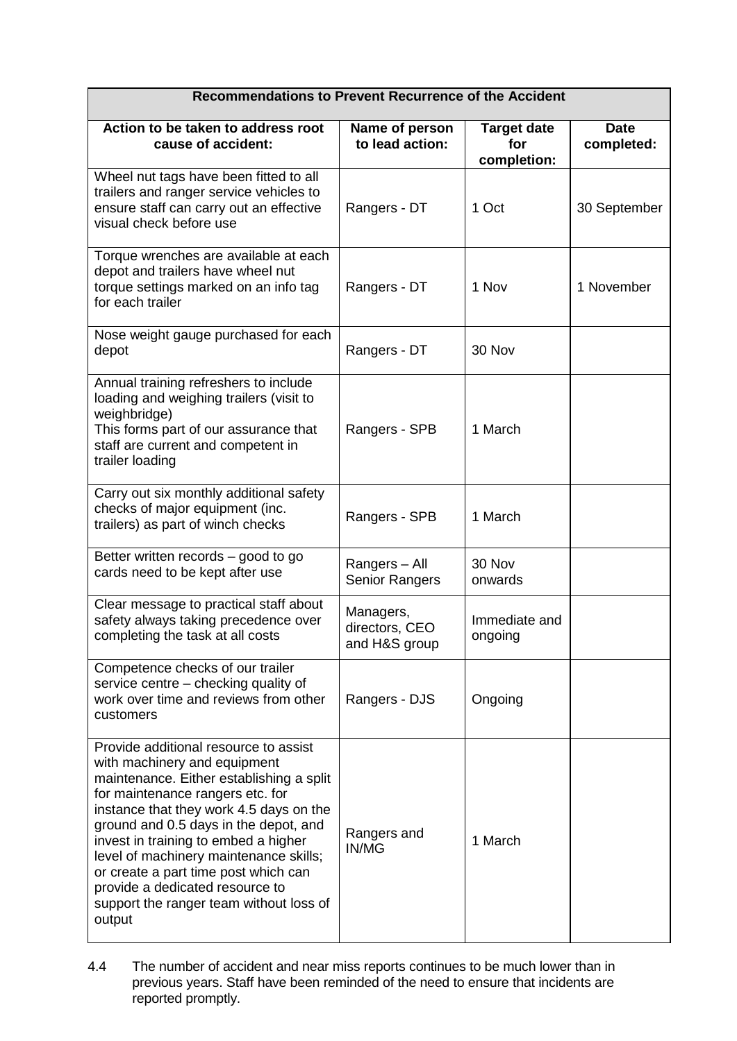| Recommendations to Prevent Recurrence of the Accident                                                                                                                                                                                                                                                                                                                                                                                                       |                                              |                                          |                           |  |
|-------------------------------------------------------------------------------------------------------------------------------------------------------------------------------------------------------------------------------------------------------------------------------------------------------------------------------------------------------------------------------------------------------------------------------------------------------------|----------------------------------------------|------------------------------------------|---------------------------|--|
| Action to be taken to address root<br>cause of accident:                                                                                                                                                                                                                                                                                                                                                                                                    | Name of person<br>to lead action:            | <b>Target date</b><br>for<br>completion: | <b>Date</b><br>completed: |  |
| Wheel nut tags have been fitted to all<br>trailers and ranger service vehicles to<br>ensure staff can carry out an effective<br>visual check before use                                                                                                                                                                                                                                                                                                     | Rangers - DT                                 | 1 Oct                                    | 30 September              |  |
| Torque wrenches are available at each<br>depot and trailers have wheel nut<br>torque settings marked on an info tag<br>for each trailer                                                                                                                                                                                                                                                                                                                     | Rangers - DT                                 | 1 Nov                                    | 1 November                |  |
| Nose weight gauge purchased for each<br>depot                                                                                                                                                                                                                                                                                                                                                                                                               | Rangers - DT                                 | 30 Nov                                   |                           |  |
| Annual training refreshers to include<br>loading and weighing trailers (visit to<br>weighbridge)<br>This forms part of our assurance that<br>staff are current and competent in<br>trailer loading                                                                                                                                                                                                                                                          | Rangers - SPB                                | 1 March                                  |                           |  |
| Carry out six monthly additional safety<br>checks of major equipment (inc.<br>trailers) as part of winch checks                                                                                                                                                                                                                                                                                                                                             | Rangers - SPB                                | 1 March                                  |                           |  |
| Better written records - good to go<br>cards need to be kept after use                                                                                                                                                                                                                                                                                                                                                                                      | Rangers - All<br><b>Senior Rangers</b>       | 30 Nov<br>onwards                        |                           |  |
| Clear message to practical staff about<br>safety always taking precedence over<br>completing the task at all costs                                                                                                                                                                                                                                                                                                                                          | Managers,<br>directors, CEO<br>and H&S group | Immediate and<br>ongoing                 |                           |  |
| Competence checks of our trailer<br>service centre - checking quality of<br>work over time and reviews from other<br>customers                                                                                                                                                                                                                                                                                                                              | Rangers - DJS                                | Ongoing                                  |                           |  |
| Provide additional resource to assist<br>with machinery and equipment<br>maintenance. Either establishing a split<br>for maintenance rangers etc. for<br>instance that they work 4.5 days on the<br>ground and 0.5 days in the depot, and<br>invest in training to embed a higher<br>level of machinery maintenance skills;<br>or create a part time post which can<br>provide a dedicated resource to<br>support the ranger team without loss of<br>output | Rangers and<br>IN/MG                         | 1 March                                  |                           |  |

4.4 The number of accident and near miss reports continues to be much lower than in previous years. Staff have been reminded of the need to ensure that incidents are reported promptly.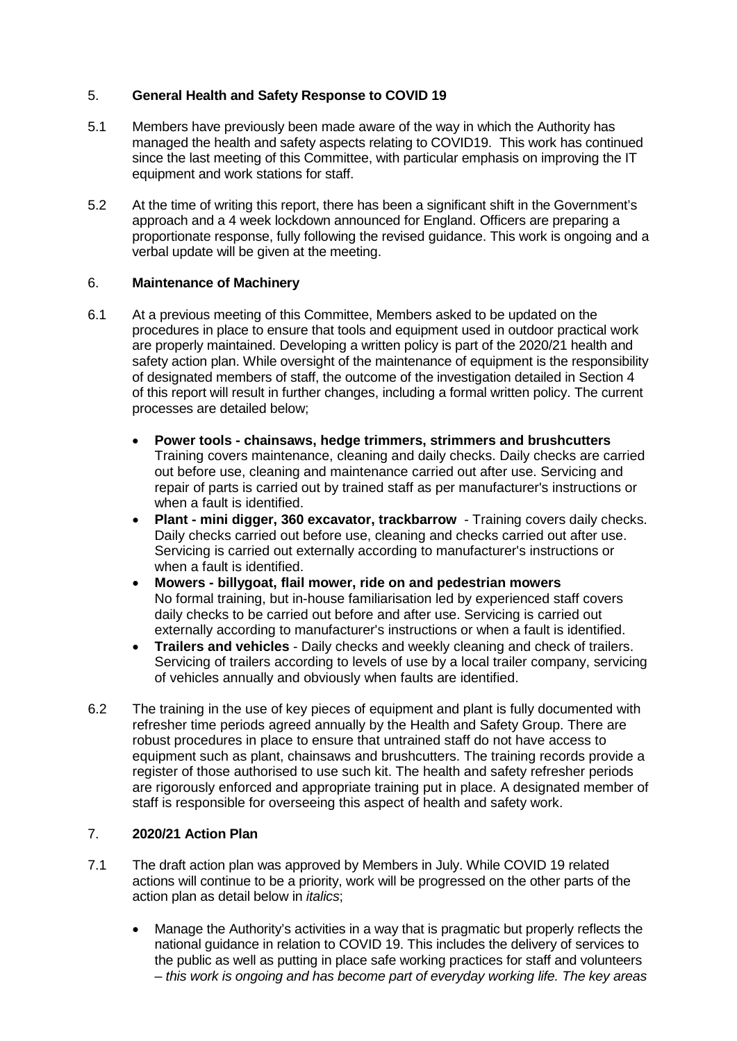# 5. **General Health and Safety Response to COVID 19**

- 5.1 Members have previously been made aware of the way in which the Authority has managed the health and safety aspects relating to COVID19. This work has continued since the last meeting of this Committee, with particular emphasis on improving the IT equipment and work stations for staff.
- 5.2 At the time of writing this report, there has been a significant shift in the Government's approach and a 4 week lockdown announced for England. Officers are preparing a proportionate response, fully following the revised guidance. This work is ongoing and a verbal update will be given at the meeting.

# 6. **Maintenance of Machinery**

- 6.1 At a previous meeting of this Committee, Members asked to be updated on the procedures in place to ensure that tools and equipment used in outdoor practical work are properly maintained. Developing a written policy is part of the 2020/21 health and safety action plan. While oversight of the maintenance of equipment is the responsibility of designated members of staff, the outcome of the investigation detailed in Section 4 of this report will result in further changes, including a formal written policy. The current processes are detailed below;
	- **Power tools - chainsaws, hedge trimmers, strimmers and brushcutters** Training covers maintenance, cleaning and daily checks. Daily checks are carried out before use, cleaning and maintenance carried out after use. Servicing and repair of parts is carried out by trained staff as per manufacturer's instructions or when a fault is identified.
	- **Plant - mini digger, 360 excavator, trackbarrow** Training covers daily checks. Daily checks carried out before use, cleaning and checks carried out after use. Servicing is carried out externally according to manufacturer's instructions or when a fault is identified.
	- **Mowers - billygoat, flail mower, ride on and pedestrian mowers** No formal training, but in-house familiarisation led by experienced staff covers daily checks to be carried out before and after use. Servicing is carried out externally according to manufacturer's instructions or when a fault is identified.
	- **Trailers and vehicles** Daily checks and weekly cleaning and check of trailers. Servicing of trailers according to levels of use by a local trailer company, servicing of vehicles annually and obviously when faults are identified.
- 6.2 The training in the use of key pieces of equipment and plant is fully documented with refresher time periods agreed annually by the Health and Safety Group. There are robust procedures in place to ensure that untrained staff do not have access to equipment such as plant, chainsaws and brushcutters. The training records provide a register of those authorised to use such kit. The health and safety refresher periods are rigorously enforced and appropriate training put in place. A designated member of staff is responsible for overseeing this aspect of health and safety work.

# 7. **2020/21 Action Plan**

- 7.1 The draft action plan was approved by Members in July. While COVID 19 related actions will continue to be a priority, work will be progressed on the other parts of the action plan as detail below in *italics*;
	- Manage the Authority's activities in a way that is pragmatic but properly reflects the national guidance in relation to COVID 19. This includes the delivery of services to the public as well as putting in place safe working practices for staff and volunteers – *this work is ongoing and has become part of everyday working life. The key areas*